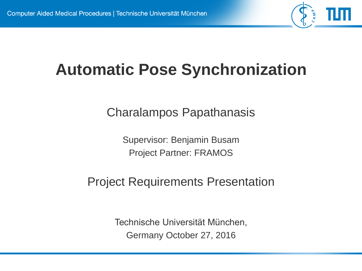

# **Automatic Pose Synchronization**

Charalampos Papathanasis

Supervisor: Benjamin Busam Project Partner: FRAMOS

#### Project Requirements Presentation

Technische Universität München, Germany October 27, 2016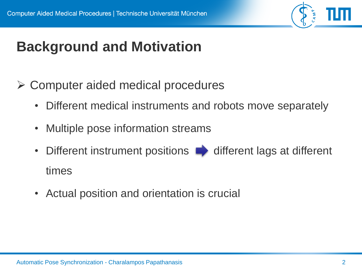

# **Background and Motivation**

- Computer aided medical procedures
	- Different medical instruments and robots move separately
	- Multiple pose information streams
	- Different instrument positions  $\blacksquare$  different lags at different times
	- Actual position and orientation is crucial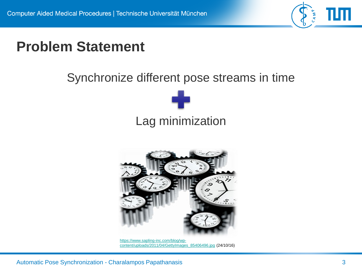

## **Problem Statement**

#### Synchronize different pose streams in time





https://www.sapling-inc.com/blog/wp[content/uploads/2011/04/GettyImages\\_85406496.jpg](https://www.sapling-inc.com/blog/wp-content/uploads/2011/04/GettyImages_85406496.jpg) (24/10/16)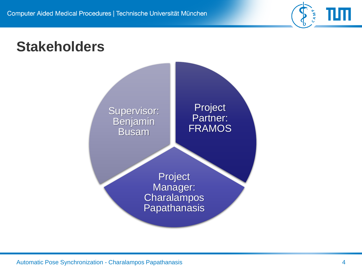

### **Stakeholders**

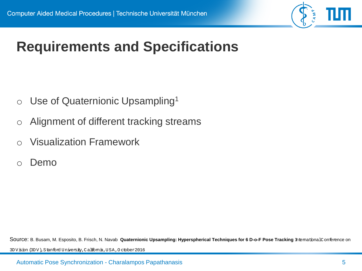

# **Requirements and Specifications**

- $\circ$  Use of Quaternionic Upsampling<sup>1</sup>
- o Alignment of different tracking streams
- o Visualization Framework
- o Demo

Source: B. Busam, M. Esposito, B. Frisch, N. Navab **Quaternionic Upsampling: Hyperspherical Techniques for 6 D-o-F Pose Tracking** *International Conference on* 

*3DVision (3DV), Stanford University, California, USA, October 2016*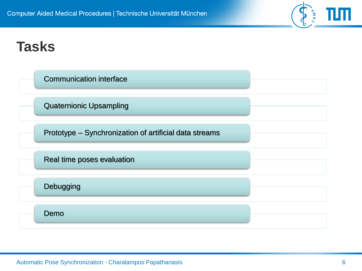

### **Tasks**

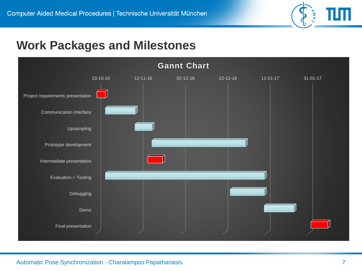

#### **Work Packages and Milestones**